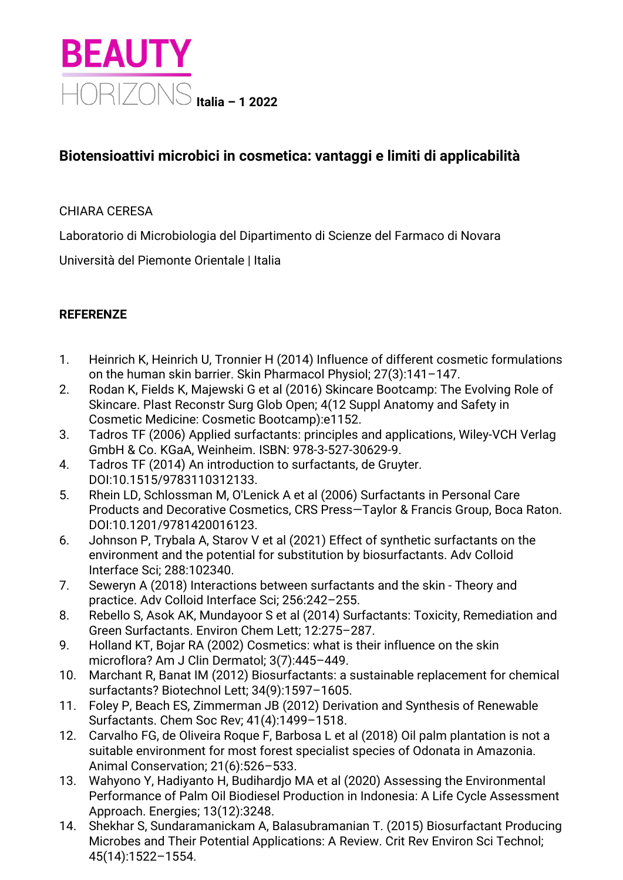

## **Biotensioattivi microbici in cosmetica: vantaggi e limiti di applicabilità**

## CHIARA CERESA

Laboratorio di Microbiologia del Dipartimento di Scienze del Farmaco di Novara

Università del Piemonte Orientale | Italia

## **REFERENZE**

- 1. Heinrich K, Heinrich U, Tronnier H (2014) Influence of different cosmetic formulations on the human skin barrier. Skin Pharmacol Physiol; 27(3):141–147.
- 2. Rodan K, Fields K, Majewski G et al (2016) Skincare Bootcamp: The Evolving Role of Skincare. Plast Reconstr Surg Glob Open; 4(12 Suppl Anatomy and Safety in Cosmetic Medicine: Cosmetic Bootcamp):e1152.
- 3. Tadros TF (2006) Applied surfactants: principles and applications, Wiley‐VCH Verlag GmbH & Co. KGaA, Weinheim. ISBN: 978-3-527-30629-9.
- 4. Tadros TF (2014) An introduction to surfactants, de Gruyter. DOI:10.1515/9783110312133.
- 5. Rhein LD, Schlossman M, O'Lenick A et al (2006) Surfactants in Personal Care Products and Decorative Cosmetics, CRS Press—Taylor & Francis Group, Boca Raton. DOI:10.1201/9781420016123.
- 6. Johnson P, Trybala A, Starov V et al (2021) Effect of synthetic surfactants on the environment and the potential for substitution by biosurfactants. Adv Colloid Interface Sci; 288:102340.
- 7. Seweryn A (2018) Interactions between surfactants and the skin Theory and practice. Adv Colloid Interface Sci; 256:242–255.
- 8. Rebello S, Asok AK, Mundayoor S et al (2014) Surfactants: Toxicity, Remediation and Green Surfactants. Environ Chem Lett; 12:275–287.
- 9. Holland KT, Bojar RA (2002) Cosmetics: what is their influence on the skin microflora? Am J Clin Dermatol; 3(7):445–449.
- 10. Marchant R, Banat IM (2012) Biosurfactants: a sustainable replacement for chemical surfactants? Biotechnol Lett; 34(9):1597–1605.
- 11. Foley P, Beach ES, Zimmerman JB (2012) Derivation and Synthesis of Renewable Surfactants. Chem Soc Rev; 41(4):1499–1518.
- 12. Carvalho FG, de Oliveira Roque F, Barbosa L et al (2018) Oil palm plantation is not a suitable environment for most forest specialist species of Odonata in Amazonia. Animal Conservation; 21(6):526–533.
- 13. Wahyono Y, Hadiyanto H, Budihardjo MA et al (2020) Assessing the Environmental Performance of Palm Oil Biodiesel Production in Indonesia: A Life Cycle Assessment Approach. Energies; 13(12):3248.
- 14. Shekhar S, Sundaramanickam A, Balasubramanian T. (2015) Biosurfactant Producing Microbes and Their Potential Applications: A Review. Crit Rev Environ Sci Technol; 45(14):1522–1554.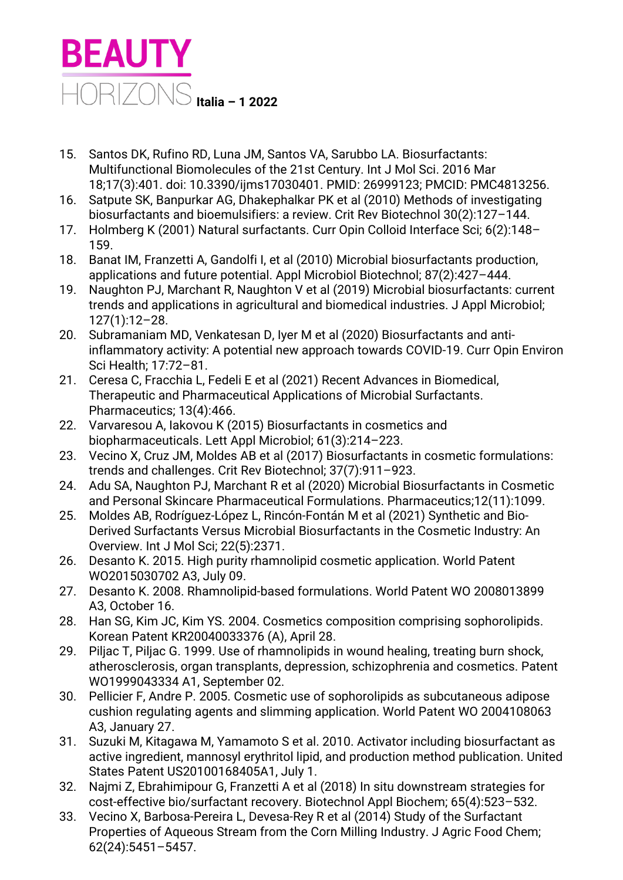

- 15. Santos DK, Rufino RD, Luna JM, Santos VA, Sarubbo LA. Biosurfactants: Multifunctional Biomolecules of the 21st Century. Int J Mol Sci. 2016 Mar 18;17(3):401. doi: 10.3390/ijms17030401. PMID: 26999123; PMCID: PMC4813256.
- 16. Satpute SK, Banpurkar AG, Dhakephalkar PK et al (2010) Methods of investigating biosurfactants and bioemulsifiers: a review. Crit Rev Biotechnol 30(2):127–144.
- 17. Holmberg K (2001) Natural surfactants. Curr Opin Colloid Interface Sci; 6(2):148– 159.
- 18. Banat IM, Franzetti A, Gandolfi I, et al (2010) Microbial biosurfactants production, applications and future potential. Appl Microbiol Biotechnol; 87(2):427–444.
- 19. Naughton PJ, Marchant R, Naughton V et al (2019) Microbial biosurfactants: current trends and applications in agricultural and biomedical industries. J Appl Microbiol; 127(1):12–28.
- 20. Subramaniam MD, Venkatesan D, Iyer M et al (2020) Biosurfactants and antiinflammatory activity: A potential new approach towards COVID-19. Curr Opin Environ Sci Health; 17:72–81.
- 21. Ceresa C, Fracchia L, Fedeli E et al (2021) Recent Advances in Biomedical, Therapeutic and Pharmaceutical Applications of Microbial Surfactants. Pharmaceutics; 13(4):466.
- 22. Varvaresou A, Iakovou K (2015) Biosurfactants in cosmetics and biopharmaceuticals. Lett Appl Microbiol; 61(3):214–223.
- 23. Vecino X, Cruz JM, Moldes AB et al (2017) Biosurfactants in cosmetic formulations: trends and challenges. Crit Rev Biotechnol; 37(7):911–923.
- 24. Adu SA, Naughton PJ, Marchant R et al (2020) Microbial Biosurfactants in Cosmetic and Personal Skincare Pharmaceutical Formulations. Pharmaceutics;12(11):1099.
- 25. Moldes AB, Rodríguez-López L, Rincón-Fontán M et al (2021) Synthetic and Bio-Derived Surfactants Versus Microbial Biosurfactants in the Cosmetic Industry: An Overview. Int J Mol Sci; 22(5):2371.
- 26. Desanto K. 2015. High purity rhamnolipid cosmetic application. World Patent WO2015030702 A3, July 09.
- 27. Desanto K. 2008. Rhamnolipid-based formulations. World Patent WO 2008013899 A3, October 16.
- 28. Han SG, Kim JC, Kim YS. 2004. Cosmetics composition comprising sophorolipids. Korean Patent KR20040033376 (A), April 28.
- 29. Piljac T, Piljac G. 1999. Use of rhamnolipids in wound healing, treating burn shock, atherosclerosis, organ transplants, depression, schizophrenia and cosmetics. Patent WO1999043334 A1, September 02.
- 30. Pellicier F, Andre P. 2005. Cosmetic use of sophorolipids as subcutaneous adipose cushion regulating agents and slimming application. World Patent WO 2004108063 A3, January 27.
- 31. Suzuki M, Kitagawa M, Yamamoto S et al. 2010. Activator including biosurfactant as active ingredient, mannosyl erythritol lipid, and production method publication. United States Patent US20100168405A1, July 1.
- 32. Najmi Z, Ebrahimipour G, Franzetti A et al (2018) In situ downstream strategies for cost-effective bio/surfactant recovery. Biotechnol Appl Biochem; 65(4):523–532.
- 33. Vecino X, Barbosa-Pereira L, Devesa-Rey R et al (2014) Study of the Surfactant Properties of Aqueous Stream from the Corn Milling Industry. J Agric Food Chem; 62(24):5451–5457.